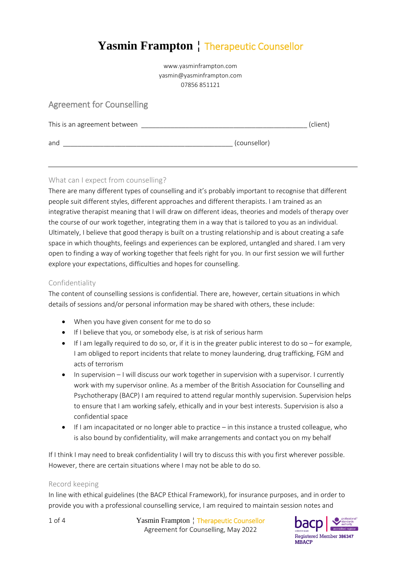# **Yasmin Frampton** ¦ Therapeutic Counsellor

www.yasminframpton.com yasmin@yasminframpton.com 07856 851121

# Agreement for Counselling

| This is an agreement between |              | (client) |
|------------------------------|--------------|----------|
| and                          | (counsellor) |          |

## What can I expect from counselling?

There are many different types of counselling and it's probably important to recognise that different people suit different styles, different approaches and different therapists. I am trained as an integrative therapist meaning that I will draw on different ideas, theories and models of therapy over the course of our work together, integrating them in a way that is tailored to you as an individual. Ultimately, I believe that good therapy is built on a trusting relationship and is about creating a safe space in which thoughts, feelings and experiences can be explored, untangled and shared. I am very open to finding a way of working together that feels right for you. In our first session we will further explore your expectations, difficulties and hopes for counselling.

#### Confidentiality

The content of counselling sessions is confidential. There are, however, certain situations in which details of sessions and/or personal information may be shared with others, these include:

- When you have given consent for me to do so
- If I believe that you, or somebody else, is at risk of serious harm
- $\bullet$  If I am legally required to do so, or, if it is in the greater public interest to do so for example, I am obliged to report incidents that relate to money laundering, drug trafficking, FGM and acts of terrorism
- $\bullet$  In supervision I will discuss our work together in supervision with a supervisor. I currently work with my supervisor online. As a member of the British Association for Counselling and Psychotherapy (BACP) I am required to attend regular monthly supervision. Supervision helps to ensure that I am working safely, ethically and in your best interests. Supervision is also a confidential space
- If I am incapacitated or no longer able to practice in this instance a trusted colleague, who is also bound by confidentiality, will make arrangements and contact you on my behalf

If I think I may need to break confidentiality I will try to discuss this with you first wherever possible. However, there are certain situations where I may not be able to do so.

#### Record keeping

In line with ethical guidelines (the BACP Ethical Framework), for insurance purposes, and in order to provide you with a professional counselling service, I am required to maintain session notes and

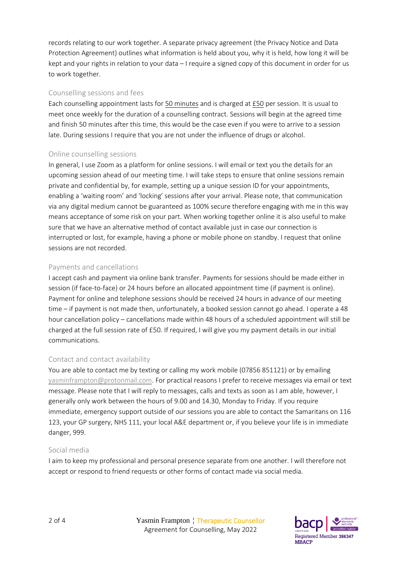records relating to our work together. A separate privacy agreement (the Privacy Notice and Data Protection Agreement) outlines what information is held about you, why it is held, how long it will be kept and your rights in relation to your data – I require a signed copy of this document in order for us to work together.

#### Counselling sessions and fees

Each counselling appointment lasts for 50 minutes and is charged at £50 per session. It is usual to meet once weekly for the duration of a counselling contract. Sessions will begin at the agreed time and finish 50 minutes after this time, this would be the case even if you were to arrive to a session late. During sessions I require that you are not under the influence of drugs or alcohol.

#### Online counselling sessions

In general, I use Zoom as a platform for online sessions. I will email or text you the details for an upcoming session ahead of our meeting time. I will take steps to ensure that online sessions remain private and confidential by, for example, setting up a unique session ID for your appointments, enabling a 'waiting room' and 'locking' sessions after your arrival. Please note, that communication via any digital medium cannot be guaranteed as 100% secure therefore engaging with me in this way means acceptance of some risk on your part. When working together online it is also useful to make sure that we have an alternative method of contact available just in case our connection is interrupted or lost, for example, having a phone or mobile phone on standby. I request that online sessions are not recorded.

#### Payments and cancellations

I accept cash and payment via online bank transfer. Payments for sessions should be made either in session (if face-to-face) or 24 hours before an allocated appointment time (if payment is online). Payment for online and telephone sessions should be received 24 hours in advance of our meeting time – if payment is not made then, unfortunately, a booked session cannot go ahead. I operate a 48 hour cancellation policy – cancellations made within 48 hours of a scheduled appointment will still be charged at the full session rate of £50. If required, I will give you my payment details in our initial communications.

## Contact and contact availability

You are able to contact me by texting or calling my work mobile (07856 851121) or by emailing [yasminframpton@protonmail.com.](mailto:yasminframpton@protonmail.com) For practical reasons I prefer to receive messages via email or text message. Please note that I will reply to messages, calls and texts as soon as I am able, however, I generally only work between the hours of 9.00 and 14.30, Monday to Friday. If you require immediate, emergency support outside of our sessions you are able to contact the Samaritans on 116 123, your GP surgery, NHS 111, your local A&E department or, if you believe your life is in immediate danger, 999.

#### Social media

I aim to keep my professional and personal presence separate from one another. I will therefore not accept or respond to friend requests or other forms of contact made via social media.

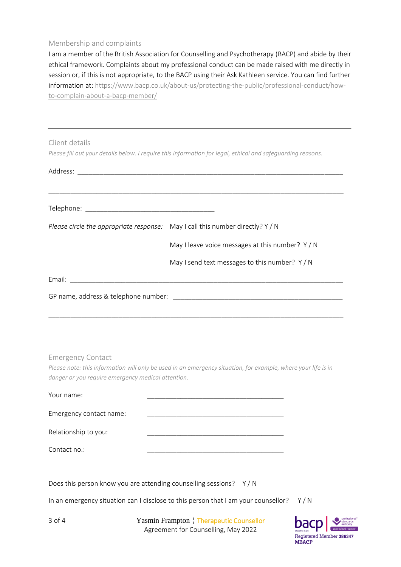#### Membership and complaints

I am a member of the British Association for Counselling and Psychotherapy (BACP) and abide by their ethical framework. Complaints about my professional conduct can be made raised with me directly in session or, if this is not appropriate, to the BACP using their Ask Kathleen service. You can find further information at: [https://www.bacp.co.uk/about-us/protecting-the-public/professional-conduct/how](https://www.bacp.co.uk/about-us/protecting-the-public/professional-conduct/how-to-complain-about-a-bacp-member/)[to-complain-about-a-bacp-member/](https://www.bacp.co.uk/about-us/protecting-the-public/professional-conduct/how-to-complain-about-a-bacp-member/)

#### Client details

*Please fill out your details below. I require this information for legal, ethical and safeguarding reasons.*

| Please circle the appropriate response: May I call this number directly? Y / N |                                                  |
|--------------------------------------------------------------------------------|--------------------------------------------------|
|                                                                                | May I leave voice messages at this number? $Y/N$ |
|                                                                                | May I send text messages to this number? Y/N     |
|                                                                                |                                                  |
|                                                                                |                                                  |

Emergency Contact

*Please note: this information will only be used in an emergency situation, for example, where your life is in danger or you require emergency medical attention.*

| Your name:              |  |
|-------------------------|--|
| Emergency contact name: |  |
| Relationship to you:    |  |
| Contact no.:            |  |

Does this person know you are attending counselling sessions? Y / N

In an emergency situation can I disclose to this person that I am your counsellor?  $Y/N$